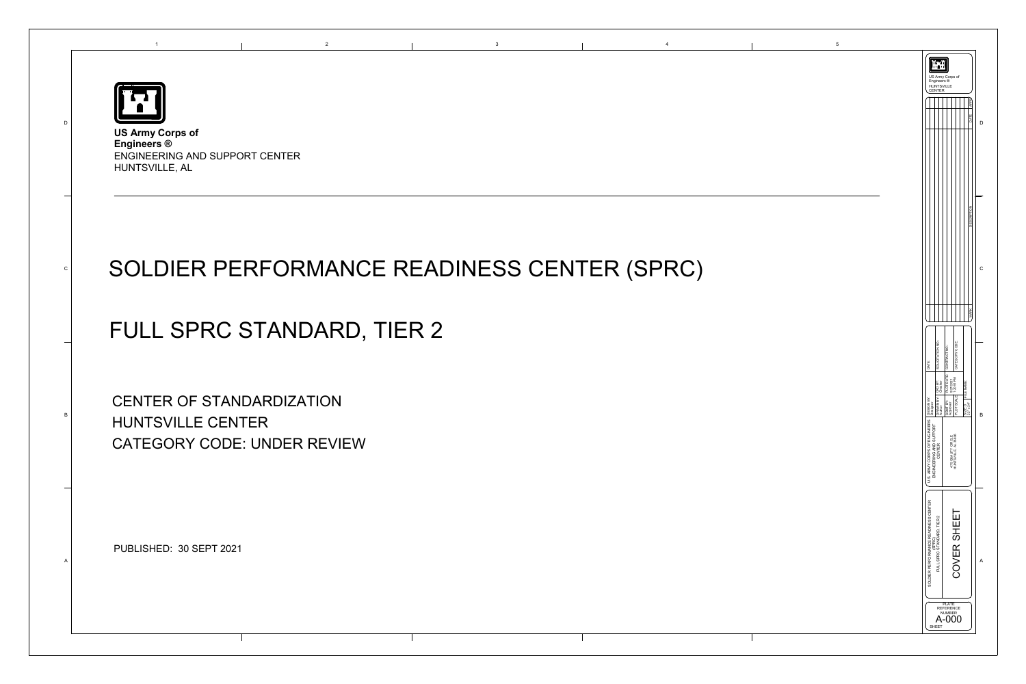



## SOLDIER PERFORMANCE READINESS CENTER (SPRC)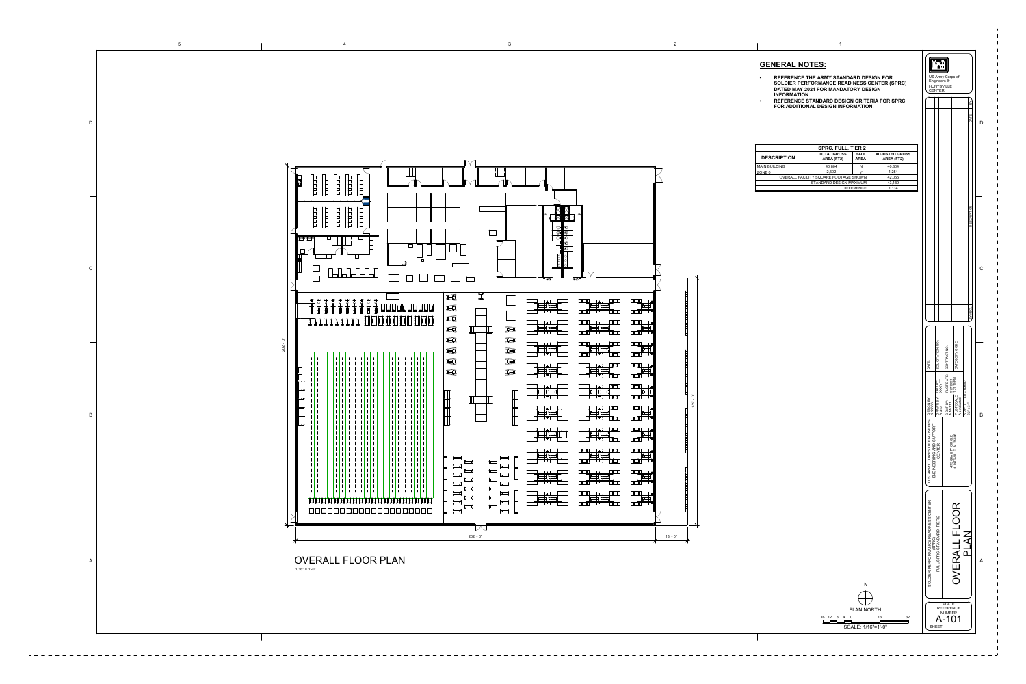| <b>SPRC, FULL, TIER 2</b>             |                                  |                            |                                     |  |  |  |  |  |  |
|---------------------------------------|----------------------------------|----------------------------|-------------------------------------|--|--|--|--|--|--|
| <b>DESCRIPTION</b>                    | <b>TOTAL GROSS</b><br>AREA (FT2) | <b>HALF</b><br><b>AREA</b> | <b>ADJUSTED GROSS</b><br>AREA (FT2) |  |  |  |  |  |  |
| <b>MAIN BUILDING</b>                  | 40,804                           | N                          | 40,804                              |  |  |  |  |  |  |
| ZONE 0                                | 2.502                            |                            | 1.251                               |  |  |  |  |  |  |
| OVERALL FACILITY SQUARE FOOTAGE SHOWN | 42,055                           |                            |                                     |  |  |  |  |  |  |
|                                       | 43,189                           |                            |                                     |  |  |  |  |  |  |
|                                       | 1.134                            |                            |                                     |  |  |  |  |  |  |

## **GENERAL NOTES:**

- **REFERENCE THE ARMY STANDARD DESIGN FOR SOLDIER PERFORMANCE READINESS CENTER (SPRC) DATED MAY 2021 FOR MANDATORY DESIGN INFORMATION.**
- **REFERENCE STANDARD DESIGN CRITERIA FOR SPRC FOR ADDITIONAL DESIGN INFORMATION.**





16

NPLAN NORTH 12 8 4 16 32 0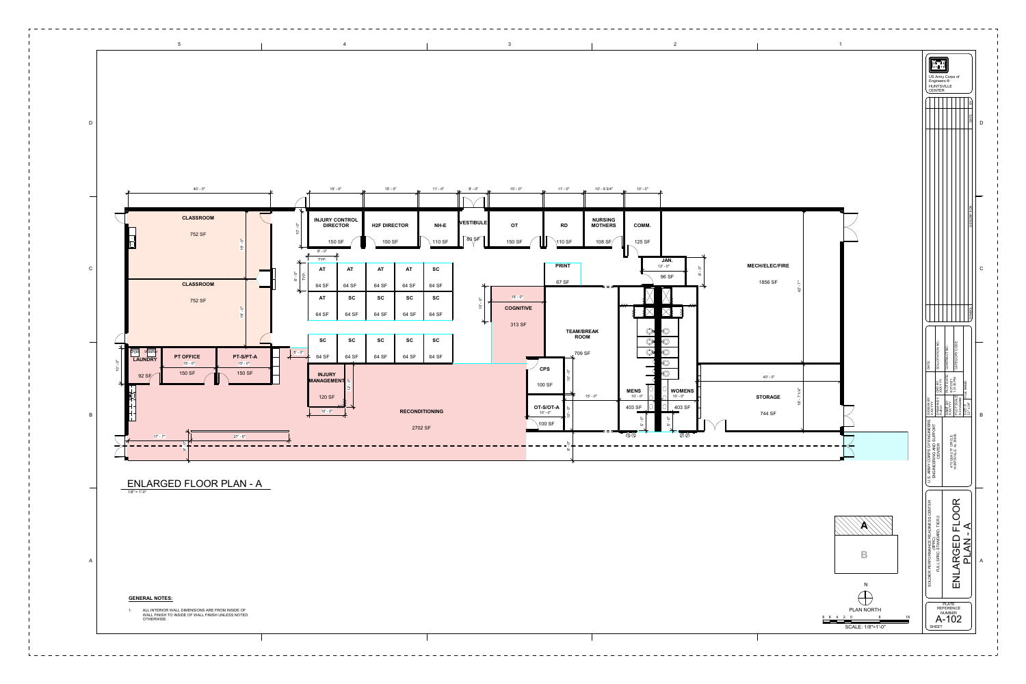|                                  |  |                                  | 15' - 0"                                                 | $\boldsymbol{\mathcal{X}}$ | 15' - 0"            | $\overline{\mathbf{z}}$ | 11' - 0"              | 8' - 0"<br>$\boldsymbol{\nu}$ | 15' - 0"<br>$\boldsymbol{\nu}$ | 11' - 0"                                                                                               | 10' - 9 3/4"<br>$\mathbf{z}$     | 10' - 0"<br>$\boldsymbol{\nu}$ |                            |            |
|----------------------------------|--|----------------------------------|----------------------------------------------------------|----------------------------|---------------------|-------------------------|-----------------------|-------------------------------|--------------------------------|--------------------------------------------------------------------------------------------------------|----------------------------------|--------------------------------|----------------------------|------------|
|                                  |  |                                  |                                                          |                            |                     |                         |                       |                               |                                |                                                                                                        |                                  |                                |                            |            |
| <b>MOC</b>                       |  | $\ddot{\circ}$<br>$\overline{O}$ | <b>INJURY CONTROL</b><br><b>DIRECTOR</b>                 |                            | <b>H2F DIRECTOR</b> |                         | NH-E                  | <b>VESTIBULE</b>              | <b>OT</b>                      | <b>RD</b>                                                                                              | <b>NURSING</b><br><b>MOTHERS</b> | COMM.                          |                            |            |
| $\overline{Q}$<br>$\overline{9}$ |  |                                  | 150 SF<br>$8^{\circ}$ - $0^{\circ\circ}$                 |                            | 150 SF              |                         | 110 SF                | $80,$ SF                      | 150 SF                         | $110 S$ F                                                                                              | 108 SF $/$                       | 125 SF                         |                            |            |
|                                  |  | $8' - 0''$<br>TYP.               | TYP.<br><b>AT</b>                                        | <b>AT</b>                  | <b>AT</b>           | <b>AT</b>               | <b>SC</b>             |                               |                                | <b>PRINT</b>                                                                                           |                                  |                                | JAN.<br>$12 - 0"$<br>96 SF | $8' - 0''$ |
| <b>MOC</b>                       |  |                                  | 64 SF                                                    | 64 SF                      | 64 SF               | 64 SF                   | 64 SF                 |                               |                                | 67 SF                                                                                                  |                                  |                                |                            |            |
|                                  |  |                                  | <b>AT</b>                                                | <b>SC</b>                  | <b>SC</b>           | <b>SC</b>               | <b>SC</b>             | ්<br>$\mathbf{r}$             | $15' - 0''$                    |                                                                                                        |                                  | <b>OD</b>                      | $\overline{\mathbb{C}}$    |            |
| $\overline{O}$<br>$\overline{9}$ |  |                                  | 64 SF                                                    | 64 SF                      | 64 SF               | 64 SF                   | 64 SF                 | $\dot{Q}$                     | <b>COGNITIVE</b>               |                                                                                                        |                                  |                                | J                          |            |
|                                  |  |                                  | <b>SC</b>                                                | <b>SC</b>                  | <b>SC</b>           | <b>SC</b>               | <b>SC</b>             | $\leftarrow$                  | 313 SF                         | <b>TEAM/BREAK</b><br><b>ROOM</b>                                                                       |                                  | ♡<br>$\circledcirc$            | $\bigcirc$<br>$\bigcirc$   |            |
| PT-S/PT-A                        |  | $5' - 0''$                       | 64 SF                                                    | 64 SF                      | 64 SF               | 64 SF                   | 64 SF                 |                               |                                | 709 SF                                                                                                 |                                  | $\bigcirc$                     | $\bigcirc$                 |            |
| $15' - 0''$<br><b>150 SF</b>     |  |                                  | <b>INJURY</b><br>MANAGEMENT 5<br>$\frac{5}{2}$<br>120 SF |                            |                     |                         |                       | <b>CPS</b><br>100 SF          | $15' - 0''$                    | $\bigcirc$<br>$\mathrel{\smash\smile}$<br><b>WOMENS</b><br><b>MENS</b><br>$10' - 0''$<br>$10'$ - $0''$ |                                  |                                |                            |            |
|                                  |  |                                  | $10' - 0''$                                              |                            |                     |                         | <b>RECONDITIONING</b> |                               |                                | OT-S/OT-A<br>$10 - 0''$<br>$10' - 0''$                                                                 |                                  | 403 SF<br>$\circ$              | 403 SF<br>్                |            |
|                                  |  |                                  |                                                          |                            |                     |                         | 2702 SF               |                               |                                | 100 SF                                                                                                 |                                  | ັດ                             | ū٥                         |            |
| $27' - 6''$                      |  |                                  |                                                          |                            |                     |                         |                       |                               |                                | Ġ                                                                                                      |                                  | $\circledcirc$                 | $\circledcirc$             |            |
|                                  |  |                                  |                                                          |                            |                     |                         |                       |                               |                                | $\infty$                                                                                               |                                  |                                |                            |            |

2



\_\_\_\_\_\_\_\_\_\_\_\_\_\_\_\_\_\_\_\_\_\_\_

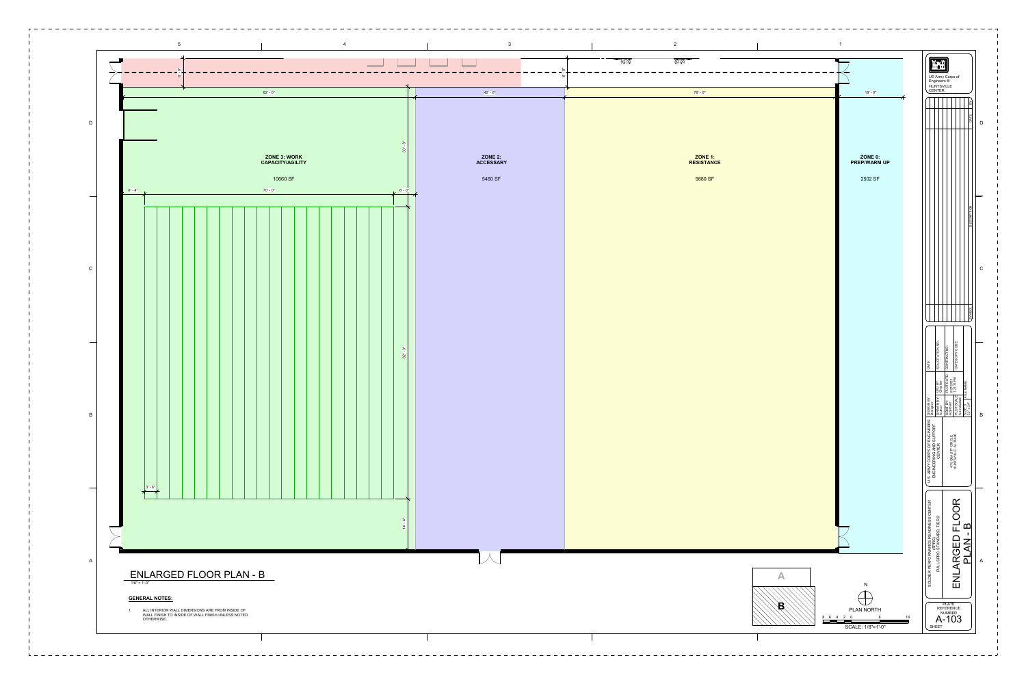

 $- - - - - - - - - -$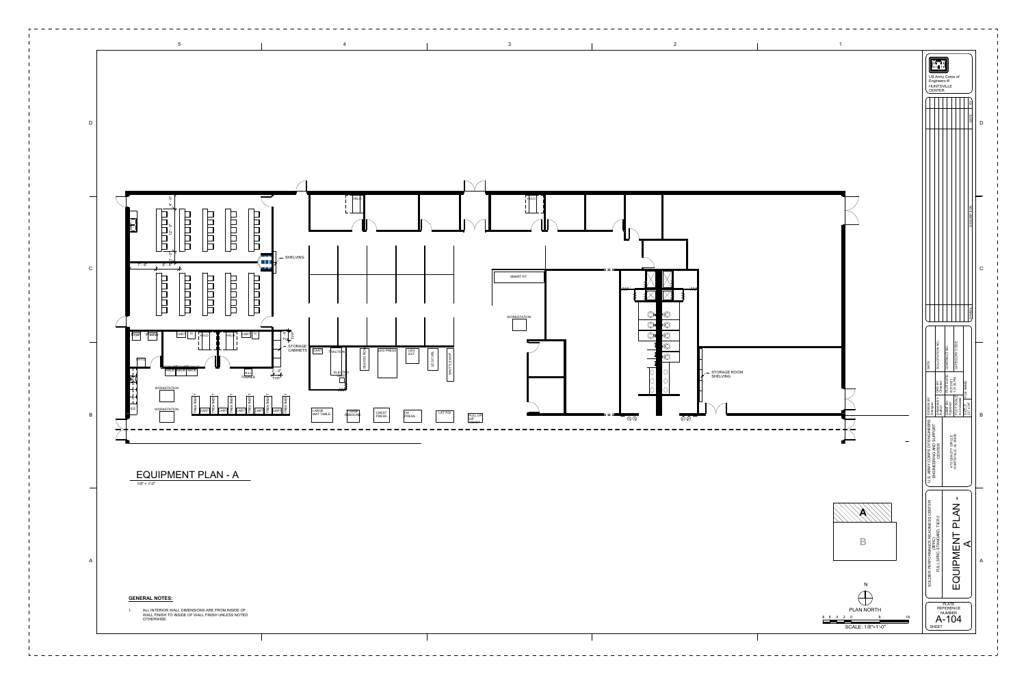

\_\_\_\_\_\_\_\_\_\_\_\_\_\_\_\_\_\_\_\_\_